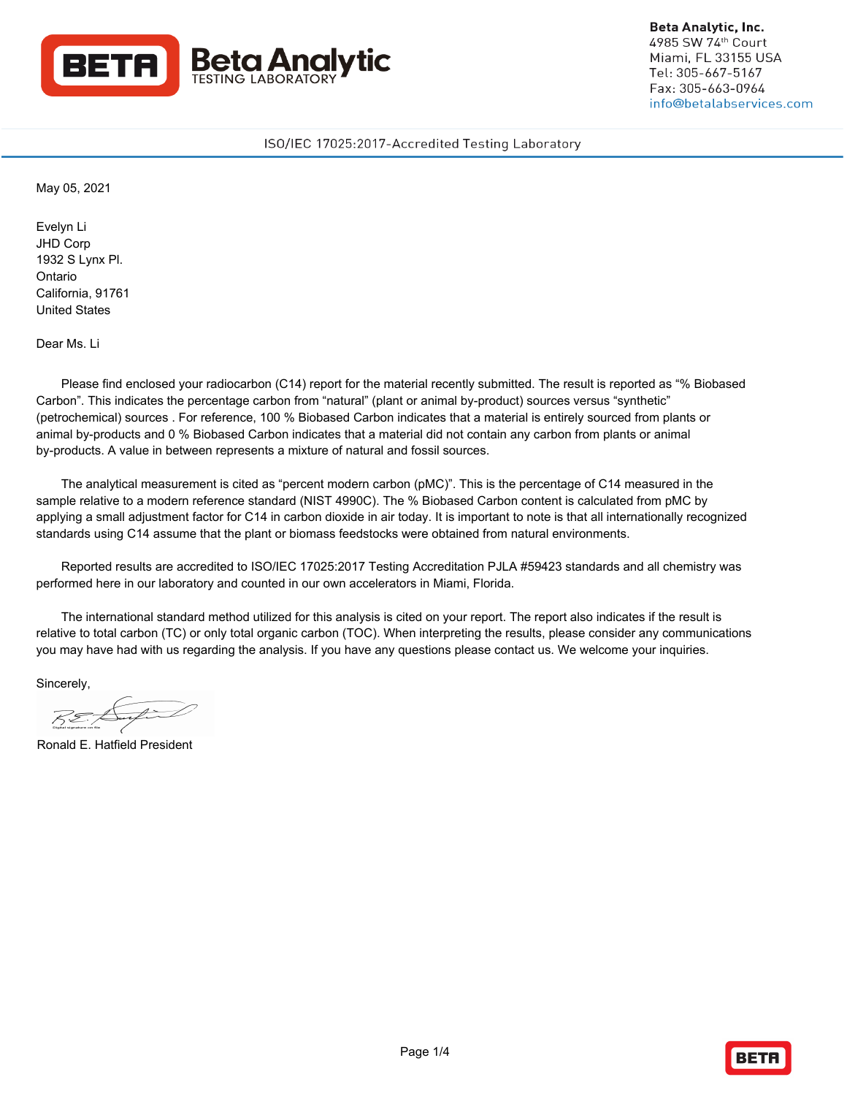

**Beta Analytic, Inc.** 4985 SW 74th Court Miami. FL 33155 USA Tel: 305-667-5167 Fax: 305-663-0964 info@betalabservices.com

# ISO/IEC 17025:2017-Accredited Testing Laboratory

May 05, 2021

Evelyn Li JHD Corp 1932 S Lynx Pl. Ontario California, 91761 United States

Dear Ms. Li

Please find enclosed your radiocarbon (C14) report for the material recently submitted. The result is reported as "% Biobased Carbon". This indicates the percentage carbon from "natural" (plant or animal by-product) sources versus "synthetic" (petrochemical) sources . For reference, 100 % Biobased Carbon indicates that a material is entirely sourced from plants or animal by-products and 0 % Biobased Carbon indicates that a material did not contain any carbon from plants or animal by-products. A value in between represents a mixture of natural and fossil sources.

The analytical measurement is cited as "percent modern carbon (pMC)". This is the percentage of C14 measured in the sample relative to a modern reference standard (NIST 4990C). The % Biobased Carbon content is calculated from pMC by applying a small adjustment factor for C14 in carbon dioxide in air today. It is important to note is that all internationally recognized standards using C14 assume that the plant or biomass feedstocks were obtained from natural environments.

Reported results are accredited to ISO/IEC 17025:2017 Testing Accreditation PJLA #59423 standards and all chemistry was performed here in our laboratory and counted in our own accelerators in Miami, Florida.

The international standard method utilized for this analysis is cited on your report. The report also indicates if the result is relative to total carbon (TC) or only total organic carbon (TOC). When interpreting the results, please consider any communications you may have had with us regarding the analysis. If you have any questions please contact us. We welcome your inquiries.

Sincerely,

Ronald E. Hatfield President

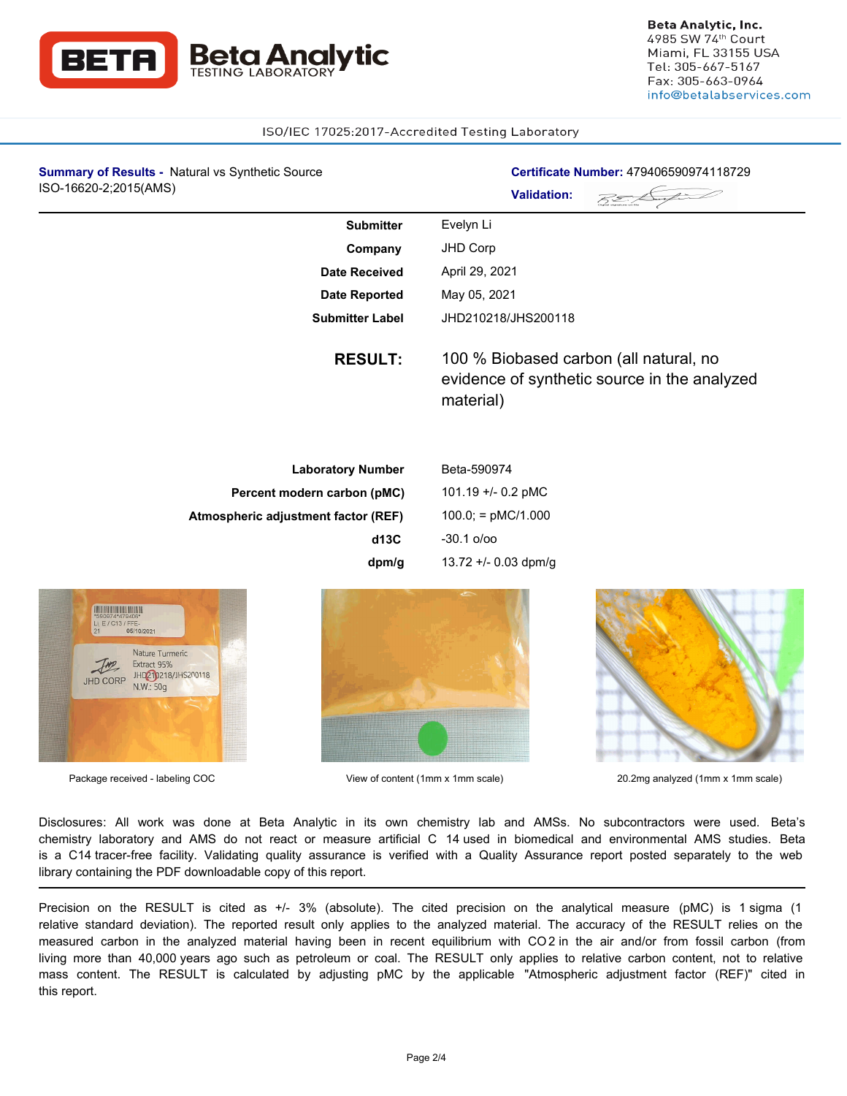

### ISO/IEC 17025:2017-Accredited Testing Laboratory

| Certificate Number: 479406590974118729<br><b>Validation:</b>                                        |
|-----------------------------------------------------------------------------------------------------|
| Evelyn Li                                                                                           |
| JHD Corp                                                                                            |
| April 29, 2021                                                                                      |
| May 05, 2021                                                                                        |
| JHD210218/JHS200118                                                                                 |
| 100 % Biobased carbon (all natural, no<br>evidence of synthetic source in the analyzed<br>material) |
| Beta-590974                                                                                         |
| 101.19 +/- 0.2 pMC                                                                                  |
| $100.0$ ; = pMC/1.000                                                                               |
| $-30.1$ o/oo                                                                                        |
| 13.72 +/- 0.03 dpm/g                                                                                |
|                                                                                                     |







Package received - labeling COC and the Society of Content (1mm x 1mm scale) 20.2mg analyzed (1mm x 1mm scale)

Disclosures: All work was done at Beta Analytic in its own chemistry lab and AMSs. No subcontractors were used. Beta's chemistry laboratory and AMS do not react or measure artificial C 14 used in biomedical and environmental AMS studies. Beta is a C14 tracer-free facility. Validating quality assurance is verified with a Quality Assurance report posted separately to the web library containing the PDF downloadable copy of this report.

Precision on the RESULT is cited as +/- 3% (absolute). The cited precision on the analytical measure (pMC) is 1 sigma (1 relative standard deviation). The reported result only applies to the analyzed material. The accuracy of the RESULT relies on the measured carbon in the analyzed material having been in recent equilibrium with CO 2 in the air and/or from fossil carbon (from living more than 40,000 years ago such as petroleum or coal. The RESULT only applies to relative carbon content, not to relative mass content. The RESULT is calculated by adjusting pMC by the applicable "Atmospheric adjustment factor (REF)" cited in this report.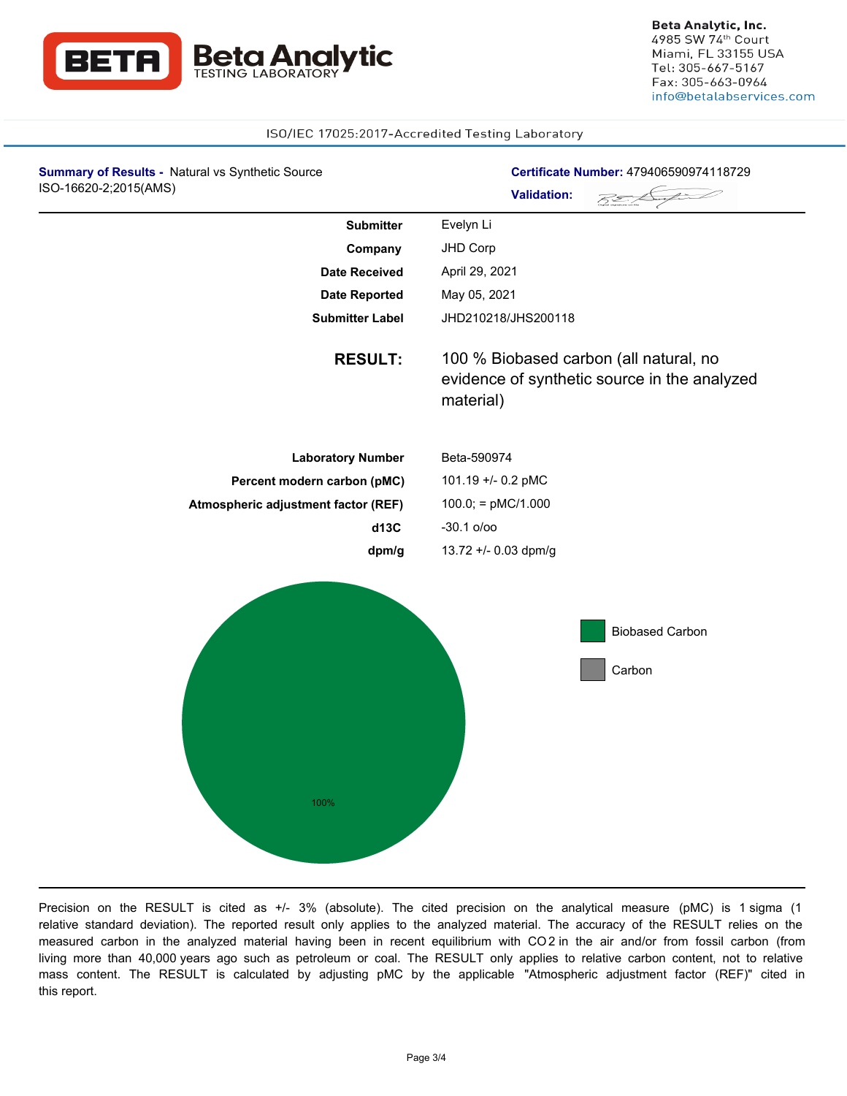

### ISO/IEC 17025:2017-Accredited Testing Laboratory

| <b>Summary of Results - Natural vs Synthetic Source</b><br>ISO-16620-2;2015(AMS) | Certificate Number: 479406590974118729                                                              |
|----------------------------------------------------------------------------------|-----------------------------------------------------------------------------------------------------|
|                                                                                  | <b>Validation:</b>                                                                                  |
| <b>Submitter</b>                                                                 | Evelyn Li                                                                                           |
| Company                                                                          | JHD Corp                                                                                            |
| <b>Date Received</b>                                                             | April 29, 2021                                                                                      |
| <b>Date Reported</b>                                                             | May 05, 2021                                                                                        |
| <b>Submitter Label</b>                                                           | JHD210218/JHS200118                                                                                 |
| <b>RESULT:</b>                                                                   | 100 % Biobased carbon (all natural, no<br>evidence of synthetic source in the analyzed<br>material) |
| <b>Laboratory Number</b>                                                         | Beta-590974                                                                                         |
| Percent modern carbon (pMC)                                                      | 101.19 +/- 0.2 pMC                                                                                  |
| Atmospheric adjustment factor (REF)                                              | $100.0$ ; = pMC/1.000                                                                               |
| d13C                                                                             | $-30.1$ o/oo                                                                                        |
| dpm/g                                                                            | 13.72 +/- 0.03 dpm/g                                                                                |
|                                                                                  | <b>Biobased Carbon</b><br>Carbon                                                                    |
| 100%                                                                             |                                                                                                     |

Precision on the RESULT is cited as +/- 3% (absolute). The cited precision on the analytical measure (pMC) is 1 sigma (1 relative standard deviation). The reported result only applies to the analyzed material. The accuracy of the RESULT relies on the measured carbon in the analyzed material having been in recent equilibrium with CO 2 in the air and/or from fossil carbon (from living more than 40,000 years ago such as petroleum or coal. The RESULT only applies to relative carbon content, not to relative mass content. The RESULT is calculated by adjusting pMC by the applicable "Atmospheric adjustment factor (REF)" cited in this report.